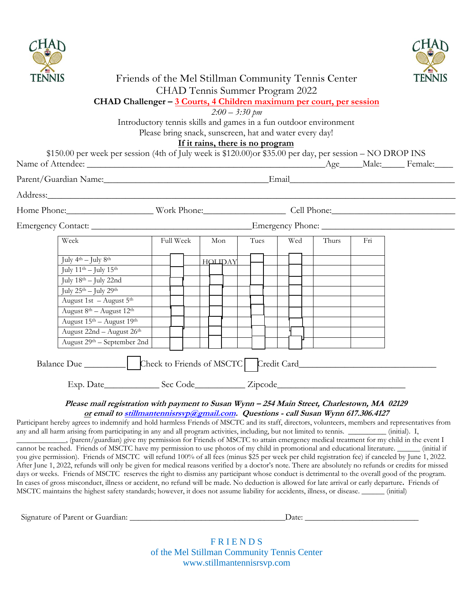



### Friends of the Mel Stillman Community Tennis Center CHAD Tennis Summer Program 2022

### **CHAD Challenger – 3 Courts, 4 Children maximum per court, per session**

*2:00 – 3:30 pm* 

Introductory tennis skills and games in a fun outdoor environment

Please bring snack, sunscreen, hat and water every day!

#### **If it rains, there is no program**

| Full Week                               |  |  | Mon |  | Tues   |  | Wed |  |  | Thurs | Fi |                                                             |
|-----------------------------------------|--|--|-----|--|--------|--|-----|--|--|-------|----|-------------------------------------------------------------|
|                                         |  |  |     |  |        |  |     |  |  |       |    |                                                             |
|                                         |  |  |     |  |        |  |     |  |  |       |    |                                                             |
|                                         |  |  |     |  |        |  |     |  |  |       |    |                                                             |
|                                         |  |  |     |  |        |  |     |  |  |       |    |                                                             |
|                                         |  |  |     |  |        |  |     |  |  |       |    |                                                             |
|                                         |  |  |     |  |        |  |     |  |  |       |    |                                                             |
|                                         |  |  |     |  |        |  |     |  |  |       |    |                                                             |
|                                         |  |  |     |  |        |  |     |  |  |       |    |                                                             |
| August 29 <sup>th</sup> – September 2nd |  |  |     |  |        |  |     |  |  |       |    |                                                             |
|                                         |  |  |     |  | НОЦДАҮ |  |     |  |  |       |    | Address:<br>Home Phone: Work Phone: Cell Phone: Cell Phone: |

## **or email [to stillmantennisrsvp@gmail.com.](mailto:stillmantennisrsvp@gmail.com) Questions - call Susan Wynn 617.306.4127**

Participant hereby agrees to indemnify and hold harmless Friends of MSCTC and its staff, directors, volunteers, members and representatives from any and all harm arising from participating in any and all program activities, including, but not limited to tennis. \_\_\_\_\_\_\_\_\_\_ (initial). I,

\_\_\_\_\_\_\_\_\_\_\_\_\_, (parent/guardian) give my permission for Friends of MSCTC to attain emergency medical treatment for my child in the event I cannot be reached. Friends of MSCTC have my permission to use photos of my child in promotional and educational literature. \_\_\_\_\_\_ (initial if you give permission). Friends of MSCTC will refund 100% of all fees (minus \$25 per week per child registration fee) if canceled by June 1, 2022. After June 1, 2022, refunds will only be given for medical reasons verified by a doctor's note. There are absolutely no refunds or credits for missed days or weeks. Friends of MSCTC reserves the right to dismiss any participant whose conduct is detrimental to the overall good of the program. In cases of gross misconduct, illness or accident, no refund will be made. No deduction is allowed for late arrival or early departure**.** Friends of MSCTC maintains the highest safety standards; however, it does not assume liability for accidents, illness, or disease. \_\_\_\_\_\_ (initial)

| Signature of Parent or C<br>Guardian:<br>Daw |
|----------------------------------------------|
|----------------------------------------------|

**FRIENDS** of the Mel Stillman Community Tennis Center www.stillmantennisrsvp.com